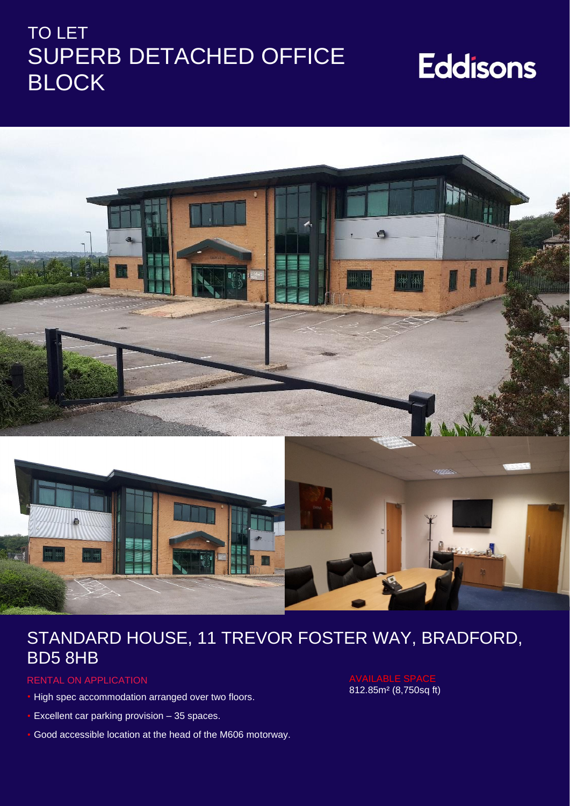## TO LET SUPERB DETACHED OFFICE BLOCK

# **Eddisons**



## STANDARD HOUSE, 11 TREVOR FOSTER WAY, BRADFORD, BD5 8HB

#### RENTAL ON APPLICATION

- High spec accommodation arranged over two floors.
- Excellent car parking provision 35 spaces.
- Good accessible location at the head of the M606 motorway.

812.85m² (8,750sq ft)